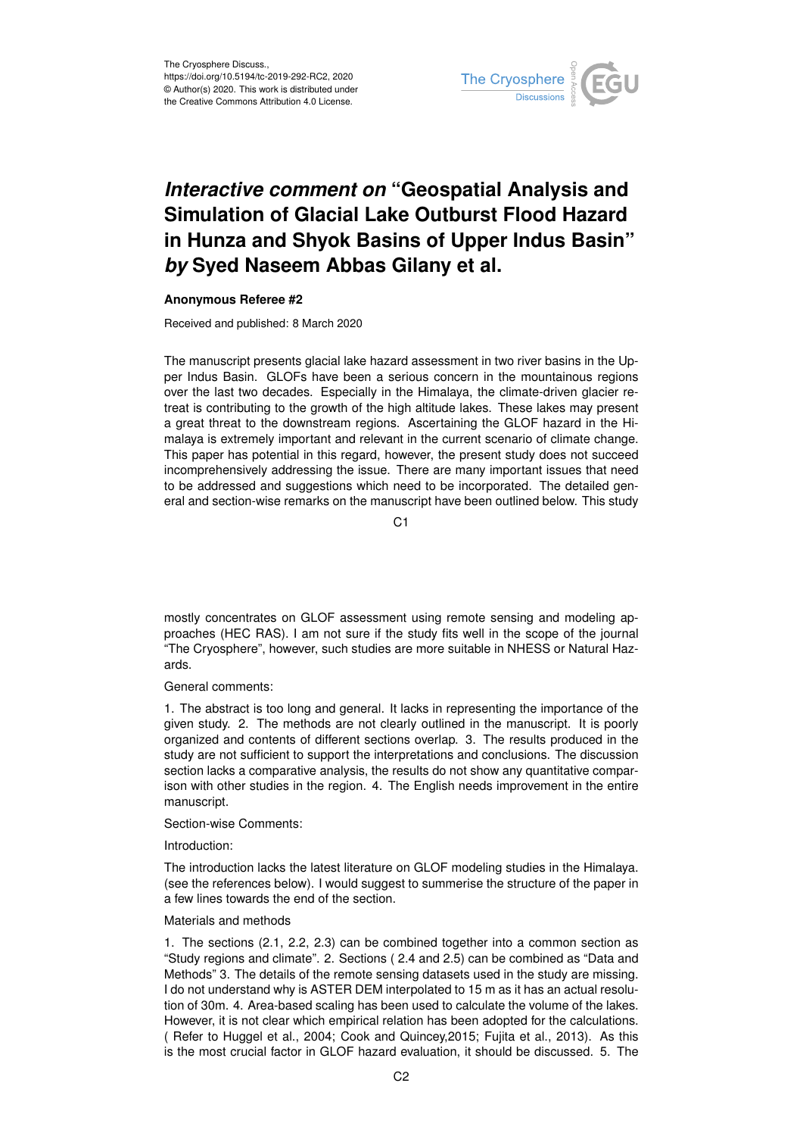

## *Interactive comment on* **"Geospatial Analysis and Simulation of Glacial Lake Outburst Flood Hazard in Hunza and Shyok Basins of Upper Indus Basin"** *by* **Syed Naseem Abbas Gilany et al.**

## **Anonymous Referee #2**

Received and published: 8 March 2020

The manuscript presents glacial lake hazard assessment in two river basins in the Upper Indus Basin. GLOFs have been a serious concern in the mountainous regions over the last two decades. Especially in the Himalaya, the climate-driven glacier retreat is contributing to the growth of the high altitude lakes. These lakes may present a great threat to the downstream regions. Ascertaining the GLOF hazard in the Himalaya is extremely important and relevant in the current scenario of climate change. This paper has potential in this regard, however, the present study does not succeed incomprehensively addressing the issue. There are many important issues that need to be addressed and suggestions which need to be incorporated. The detailed general and section-wise remarks on the manuscript have been outlined below. This study

C1

mostly concentrates on GLOF assessment using remote sensing and modeling approaches (HEC RAS). I am not sure if the study fits well in the scope of the journal "The Cryosphere", however, such studies are more suitable in NHESS or Natural Hazards.

General comments:

1. The abstract is too long and general. It lacks in representing the importance of the given study. 2. The methods are not clearly outlined in the manuscript. It is poorly organized and contents of different sections overlap. 3. The results produced in the study are not sufficient to support the interpretations and conclusions. The discussion section lacks a comparative analysis, the results do not show any quantitative comparison with other studies in the region. 4. The English needs improvement in the entire manuscript.

Section-wise Comments:

Introduction:

The introduction lacks the latest literature on GLOF modeling studies in the Himalaya. (see the references below). I would suggest to summerise the structure of the paper in a few lines towards the end of the section.

Materials and methods

1. The sections (2.1, 2.2, 2.3) can be combined together into a common section as "Study regions and climate". 2. Sections ( 2.4 and 2.5) can be combined as "Data and Methods" 3. The details of the remote sensing datasets used in the study are missing. I do not understand why is ASTER DEM interpolated to 15 m as it has an actual resolution of 30m. 4. Area-based scaling has been used to calculate the volume of the lakes. However, it is not clear which empirical relation has been adopted for the calculations. ( Refer to Huggel et al., 2004; Cook and Quincey,2015; Fujita et al., 2013). As this is the most crucial factor in GLOF hazard evaluation, it should be discussed. 5. The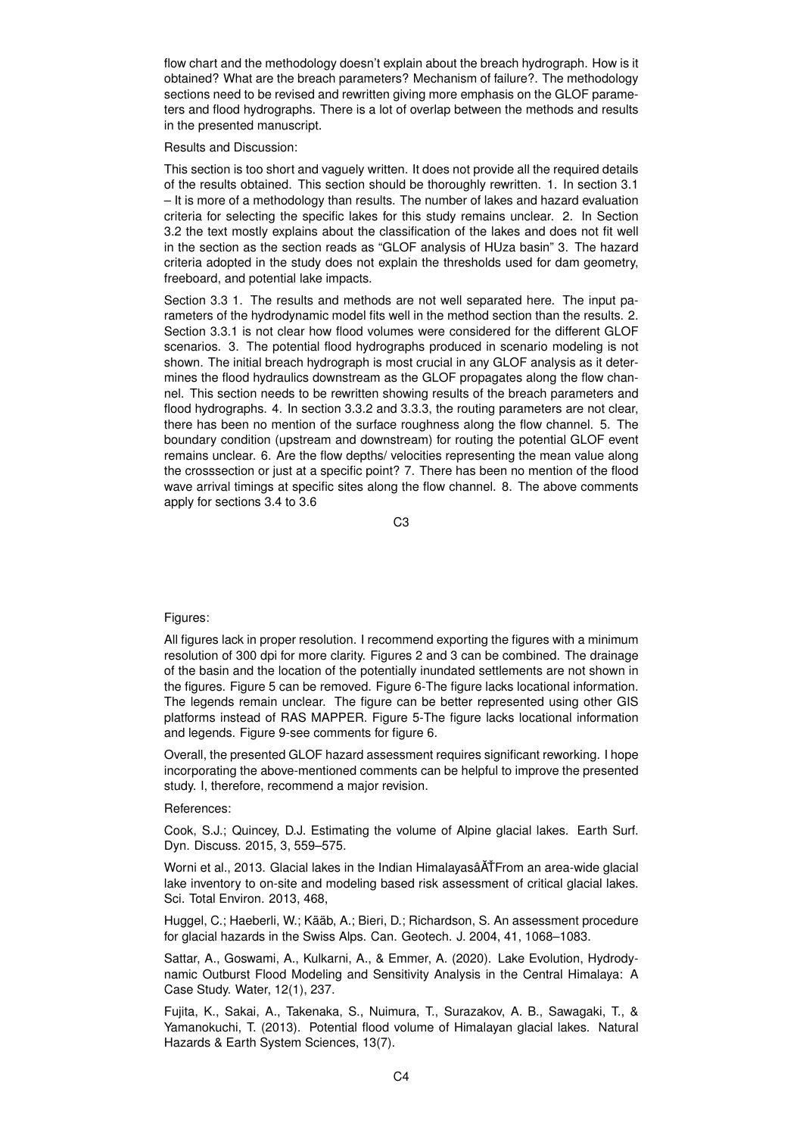flow chart and the methodology doesn't explain about the breach hydrograph. How is it obtained? What are the breach parameters? Mechanism of failure?. The methodology sections need to be revised and rewritten giving more emphasis on the GLOF parameters and flood hydrographs. There is a lot of overlap between the methods and results in the presented manuscript.

Results and Discussion:

This section is too short and vaguely written. It does not provide all the required details of the results obtained. This section should be thoroughly rewritten. 1. In section 3.1 – It is more of a methodology than results. The number of lakes and hazard evaluation criteria for selecting the specific lakes for this study remains unclear. 2. In Section 3.2 the text mostly explains about the classification of the lakes and does not fit well in the section as the section reads as "GLOF analysis of HUza basin" 3. The hazard criteria adopted in the study does not explain the thresholds used for dam geometry, freeboard, and potential lake impacts.

Section 3.3 1. The results and methods are not well separated here. The input parameters of the hydrodynamic model fits well in the method section than the results. 2. Section 3.3.1 is not clear how flood volumes were considered for the different GLOF scenarios. 3. The potential flood hydrographs produced in scenario modeling is not shown. The initial breach hydrograph is most crucial in any GLOF analysis as it determines the flood hydraulics downstream as the GLOF propagates along the flow channel. This section needs to be rewritten showing results of the breach parameters and flood hydrographs. 4. In section 3.3.2 and 3.3.3, the routing parameters are not clear, there has been no mention of the surface roughness along the flow channel. 5. The boundary condition (upstream and downstream) for routing the potential GLOF event remains unclear. 6. Are the flow depths/ velocities representing the mean value along the crosssection or just at a specific point? 7. There has been no mention of the flood wave arrival timings at specific sites along the flow channel. 8. The above comments apply for sections 3.4 to 3.6

C3

## Figures:

All figures lack in proper resolution. I recommend exporting the figures with a minimum resolution of 300 dpi for more clarity. Figures 2 and 3 can be combined. The drainage of the basin and the location of the potentially inundated settlements are not shown in the figures. Figure 5 can be removed. Figure 6-The figure lacks locational information. The legends remain unclear. The figure can be better represented using other GIS platforms instead of RAS MAPPER. Figure 5-The figure lacks locational information and legends. Figure 9-see comments for figure 6.

Overall, the presented GLOF hazard assessment requires significant reworking. I hope incorporating the above-mentioned comments can be helpful to improve the presented study. I, therefore, recommend a major revision.

References:

Cook, S.J.; Quincey, D.J. Estimating the volume of Alpine glacial lakes. Earth Surf. Dyn. Discuss. 2015, 3, 559–575.

Worni et al., 2013. Glacial lakes in the Indian Himalayasâ ATFrom an area-wide glacial lake inventory to on-site and modeling based risk assessment of critical glacial lakes. Sci. Total Environ. 2013, 468,

Huggel, C.; Haeberli, W.; Kääb, A.; Bieri, D.; Richardson, S. An assessment procedure for glacial hazards in the Swiss Alps. Can. Geotech. J. 2004, 41, 1068–1083.

Sattar, A., Goswami, A., Kulkarni, A., & Emmer, A. (2020). Lake Evolution, Hydrodynamic Outburst Flood Modeling and Sensitivity Analysis in the Central Himalaya: A Case Study. Water, 12(1), 237.

Fujita, K., Sakai, A., Takenaka, S., Nuimura, T., Surazakov, A. B., Sawagaki, T., & Yamanokuchi, T. (2013). Potential flood volume of Himalayan glacial lakes. Natural Hazards & Earth System Sciences, 13(7).